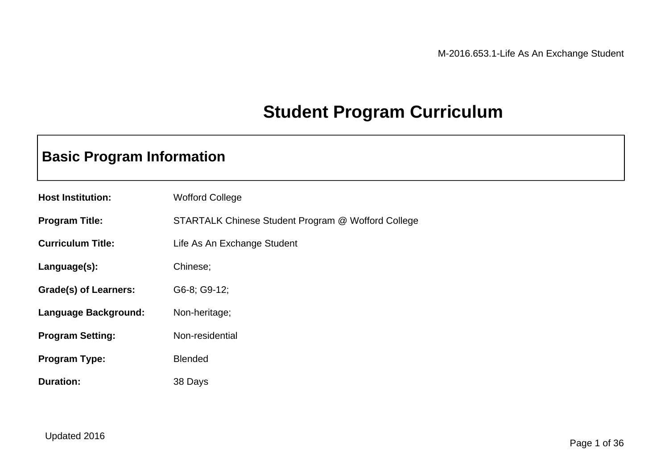# **Student Program Curriculum**

# **Basic Program Information**

| <b>Host Institution:</b>     | <b>Wofford College</b>                             |
|------------------------------|----------------------------------------------------|
| <b>Program Title:</b>        | STARTALK Chinese Student Program @ Wofford College |
| <b>Curriculum Title:</b>     | Life As An Exchange Student                        |
| Language(s):                 | Chinese;                                           |
| <b>Grade(s) of Learners:</b> | G6-8; G9-12;                                       |
| Language Background:         | Non-heritage;                                      |
| <b>Program Setting:</b>      | Non-residential                                    |
| <b>Program Type:</b>         | <b>Blended</b>                                     |
| <b>Duration:</b>             | 38 Days                                            |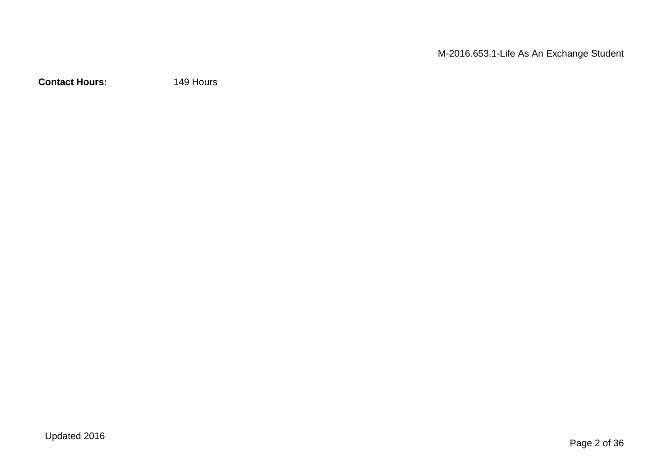**Contact Hours:** 149 Hours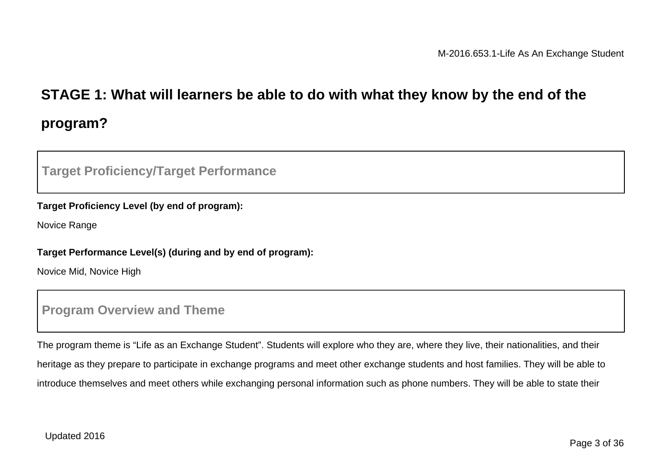# **STAGE 1: What will learners be able to do with what they know by the end of the program?**

### **Target Proficiency/Target Performance**

#### **Target Proficiency Level (by end of program):**

Novice Range

#### **Target Performance Level(s) (during and by end of program):**

Novice Mid, Novice High

### **Program Overview and Theme**

The program theme is "Life as an Exchange Student". Students will explore who they are, where they live, their nationalities, and their heritage as they prepare to participate in exchange programs and meet other exchange students and host families. They will be able to introduce themselves and meet others while exchanging personal information such as phone numbers. They will be able to state their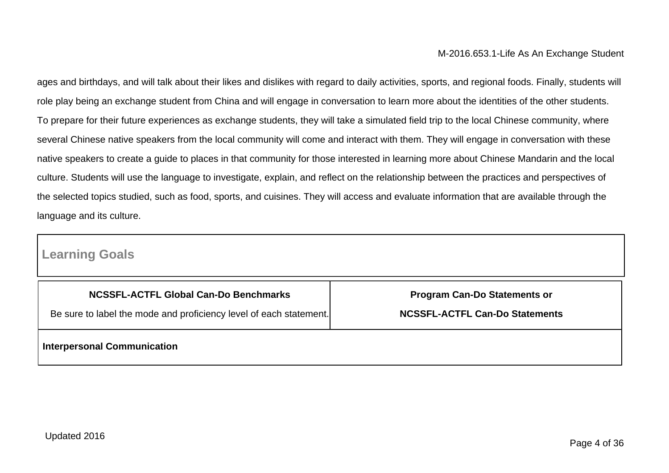ages and birthdays, and will talk about their likes and dislikes with regard to daily activities, sports, and regional foods. Finally, students will role play being an exchange student from China and will engage in conversation to learn more about the identities of the other students. To prepare for their future experiences as exchange students, they will take a simulated field trip to the local Chinese community, where several Chinese native speakers from the local community will come and interact with them. They will engage in conversation with these native speakers to create a guide to places in that community for those interested in learning more about Chinese Mandarin and the local culture. Students will use the language to investigate, explain, and reflect on the relationship between the practices and perspectives of the selected topics studied, such as food, sports, and cuisines. They will access and evaluate information that are available through the language and its culture.

## **Learning Goals**

| NCSSFL-ACTFL Global Can-Do Benchmarks<br>Be sure to label the mode and proficiency level of each statement. | <b>Program Can-Do Statements or</b><br><b>NCSSFL-ACTFL Can-Do Statements</b> |  |  |
|-------------------------------------------------------------------------------------------------------------|------------------------------------------------------------------------------|--|--|
|                                                                                                             |                                                                              |  |  |
| <b>Interpersonal Communication</b>                                                                          |                                                                              |  |  |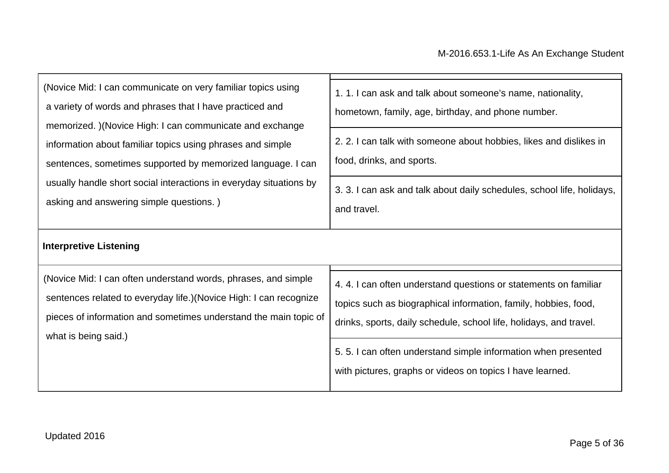| (Novice Mid: I can communicate on very familiar topics using<br>a variety of words and phrases that I have practiced and<br>memorized. )(Novice High: I can communicate and exchange<br>information about familiar topics using phrases and simple<br>sentences, sometimes supported by memorized language. I can<br>usually handle short social interactions in everyday situations by<br>asking and answering simple questions.) | 1. 1. I can ask and talk about someone's name, nationality,<br>hometown, family, age, birthday, and phone number.<br>2. 2. I can talk with someone about hobbies, likes and dislikes in<br>food, drinks, and sports.<br>3. 3. I can ask and talk about daily schedules, school life, holidays,<br>and travel. |  |
|------------------------------------------------------------------------------------------------------------------------------------------------------------------------------------------------------------------------------------------------------------------------------------------------------------------------------------------------------------------------------------------------------------------------------------|---------------------------------------------------------------------------------------------------------------------------------------------------------------------------------------------------------------------------------------------------------------------------------------------------------------|--|
| <b>Interpretive Listening</b><br>(Novice Mid: I can often understand words, phrases, and simple<br>sentences related to everyday life.) (Novice High: I can recognize<br>pieces of information and sometimes understand the main topic of<br>what is being said.)                                                                                                                                                                  | 4.4.1 can often understand questions or statements on familiar<br>topics such as biographical information, family, hobbies, food,<br>drinks, sports, daily schedule, school life, holidays, and travel.                                                                                                       |  |
|                                                                                                                                                                                                                                                                                                                                                                                                                                    | 5.5.1 can often understand simple information when presented<br>with pictures, graphs or videos on topics I have learned.                                                                                                                                                                                     |  |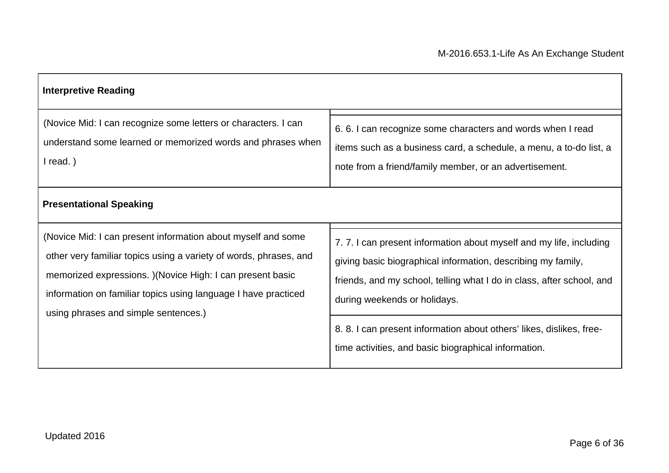| <b>Interpretive Reading</b>                                                                                                                                                                                                                                                                               |                                                                                                                                                                                                                                                                                                                                                                           |  |  |
|-----------------------------------------------------------------------------------------------------------------------------------------------------------------------------------------------------------------------------------------------------------------------------------------------------------|---------------------------------------------------------------------------------------------------------------------------------------------------------------------------------------------------------------------------------------------------------------------------------------------------------------------------------------------------------------------------|--|--|
| (Novice Mid: I can recognize some letters or characters. I can<br>understand some learned or memorized words and phrases when<br>$l$ read.)                                                                                                                                                               | 6.6. I can recognize some characters and words when I read<br>items such as a business card, a schedule, a menu, a to-do list, a<br>note from a friend/family member, or an advertisement.                                                                                                                                                                                |  |  |
| <b>Presentational Speaking</b>                                                                                                                                                                                                                                                                            |                                                                                                                                                                                                                                                                                                                                                                           |  |  |
| (Novice Mid: I can present information about myself and some<br>other very familiar topics using a variety of words, phrases, and<br>memorized expressions. ) (Novice High: I can present basic<br>information on familiar topics using language I have practiced<br>using phrases and simple sentences.) | 7.7.1 can present information about myself and my life, including<br>giving basic biographical information, describing my family,<br>friends, and my school, telling what I do in class, after school, and<br>during weekends or holidays.<br>8.8. I can present information about others' likes, dislikes, free-<br>time activities, and basic biographical information. |  |  |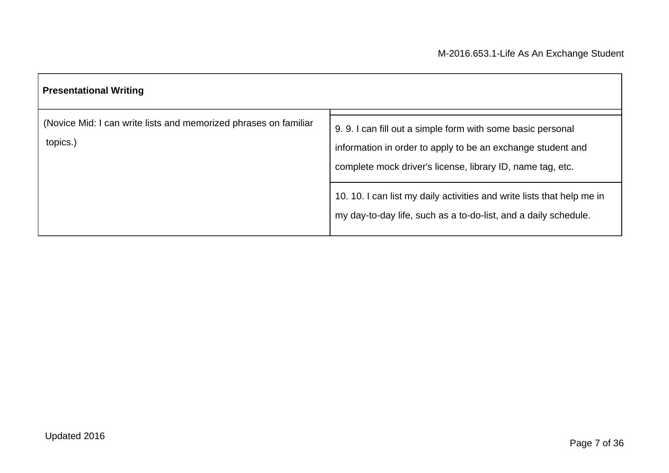| <b>Presentational Writing</b>                                                |                                                                                                                                                                                         |  |  |
|------------------------------------------------------------------------------|-----------------------------------------------------------------------------------------------------------------------------------------------------------------------------------------|--|--|
| (Novice Mid: I can write lists and memorized phrases on familiar<br>topics.) | 9.9. I can fill out a simple form with some basic personal<br>information in order to apply to be an exchange student and<br>complete mock driver's license, library ID, name tag, etc. |  |  |
|                                                                              | 10. 10. I can list my daily activities and write lists that help me in<br>my day-to-day life, such as a to-do-list, and a daily schedule.                                               |  |  |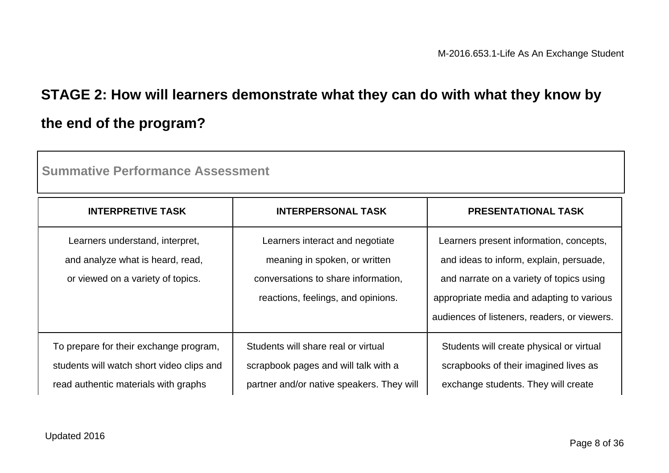# **STAGE 2: How will learners demonstrate what they can do with what they know by the end of the program?**

| <b>INTERPRETIVE TASK</b>                                                                                                    | <b>INTERPERSONAL TASK</b>                                                                                                                     | <b>PRESENTATIONAL TASK</b>                                                                                                                                                                                                  |
|-----------------------------------------------------------------------------------------------------------------------------|-----------------------------------------------------------------------------------------------------------------------------------------------|-----------------------------------------------------------------------------------------------------------------------------------------------------------------------------------------------------------------------------|
| Learners understand, interpret,<br>and analyze what is heard, read,<br>or viewed on a variety of topics.                    | Learners interact and negotiate<br>meaning in spoken, or written<br>conversations to share information.<br>reactions, feelings, and opinions. | Learners present information, concepts,<br>and ideas to inform, explain, persuade,<br>and narrate on a variety of topics using<br>appropriate media and adapting to various<br>audiences of listeners, readers, or viewers. |
| To prepare for their exchange program,<br>students will watch short video clips and<br>read authentic materials with graphs | Students will share real or virtual<br>scrapbook pages and will talk with a<br>partner and/or native speakers. They will                      | Students will create physical or virtual<br>scrapbooks of their imagined lives as<br>exchange students. They will create                                                                                                    |

**Summative Performance Assessment**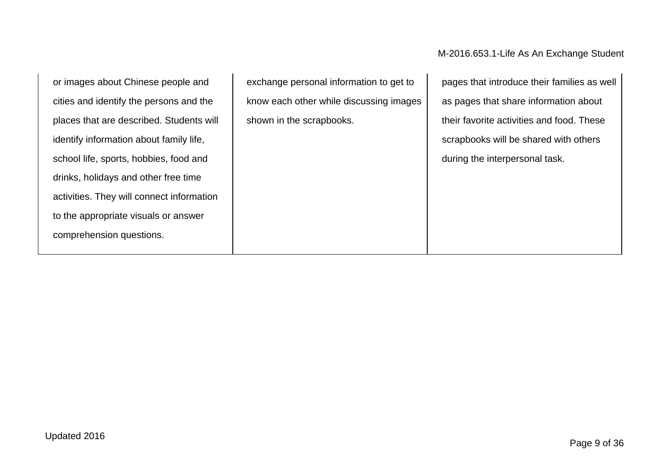or images about Chinese people and cities and identify the persons and the places that are described. Students will identify information about family life, school life, sports, hobbies, food and drinks, holidays and other free time activities. They will connect information to the appropriate visuals or answer comprehension questions.

exchange personal information to get to know each other while discussing images shown in the scrapbooks.

pages that introduce their families as well as pages that share information about their favorite activities and food. These scrapbooks will be shared with others during the interpersonal task.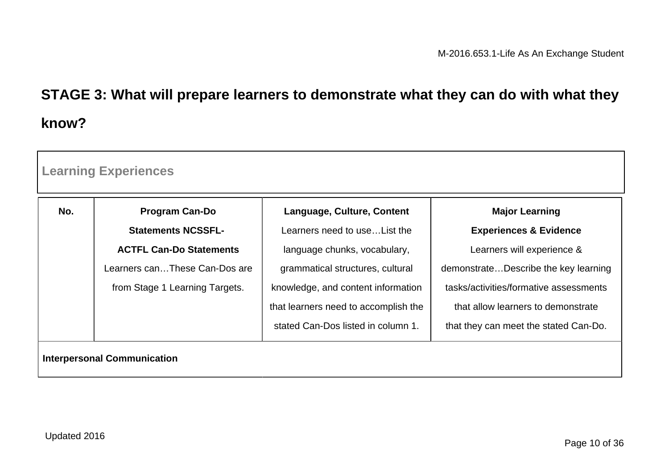# **STAGE 3: What will prepare learners to demonstrate what they can do with what they know?**

| No. | <b>Program Can-Do</b>          | Language, Culture, Content           | <b>Major Learning</b>                  |
|-----|--------------------------------|--------------------------------------|----------------------------------------|
|     | <b>Statements NCSSFL-</b>      | Learners need to use List the        | <b>Experiences &amp; Evidence</b>      |
|     | <b>ACTFL Can-Do Statements</b> | language chunks, vocabulary,         | Learners will experience &             |
|     | Learners canThese Can-Dos are  | grammatical structures, cultural     | demonstrateDescribe the key learning   |
|     | from Stage 1 Learning Targets. | knowledge, and content information   | tasks/activities/formative assessments |
|     |                                | that learners need to accomplish the | that allow learners to demonstrate     |
|     |                                | stated Can-Dos listed in column 1.   | that they can meet the stated Can-Do.  |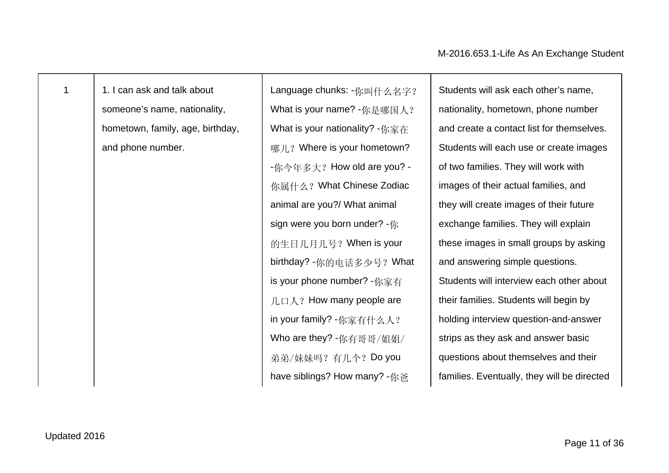| I |  |  |
|---|--|--|
|   |  |  |

1 1. I can ask and talk about someone's name, nationality, hometown, family, age, birthday, and phone number.

Language chunks: -你叫什么名字? What is your name? -你是哪国人? What is your nationality? -你家在 哪儿? Where is your hometown? -你今年多大? How old are you? -你属什么?What Chinese Zodiac animal are you?/ What animal sign were you born under? -你 的生日几月几号?When is your birthday? -你的电话多少号?What is your phone number? -你家有  $\Pi \Box \wedge ?$  How many people are in your family? -你家有什么人? Who are they? -你有哥哥/姐姐/ 弟弟/妹妹吗? 有几个? Do you have siblings? How many? -你爸

Students will ask each other's name, nationality, hometown, phone number and create a contact list for themselves. Students will each use or create images of two families. They will work with images of their actual families, and they will create images of their future exchange families. They will explain these images in small groups by asking and answering simple questions. Students will interview each other about their families. Students will begin by holding interview question-and-answer strips as they ask and answer basic questions about themselves and their families. Eventually, they will be directed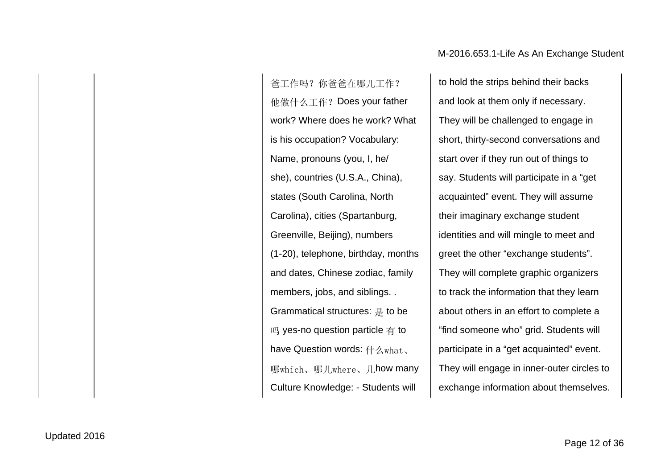爸工作吗?你爸爸在哪儿工作? 他做什么工作?Does your father work? Where does he work? What is his occupation? Vocabulary: Name, pronouns (you, I, he/ she), countries (U.S.A., China), states (South Carolina, North Carolina), cities (Spartanburg, Greenville, Beijing), numbers (1-20), telephone, birthday, months and dates, Chinese zodiac, family members, jobs, and siblings. . Grammatical structures: 是 to be 吗 yes-no question particle 有 to have Question words: 什么what、 哪which、哪儿where、几how many Culture Knowledge: - Students will

to hold the strips behind their backs and look at them only if necessary. They will be challenged to engage in short, thirty-second conversations and start over if they run out of things to say. Students will participate in a "get acquainted" event. They will assume their imaginary exchange student identities and will mingle to meet and greet the other "exchange students". They will complete graphic organizers to track the information that they learn about others in an effort to complete a "find someone who" grid. Students will participate in a "get acquainted" event. They will engage in inner-outer circles to exchange information about themselves.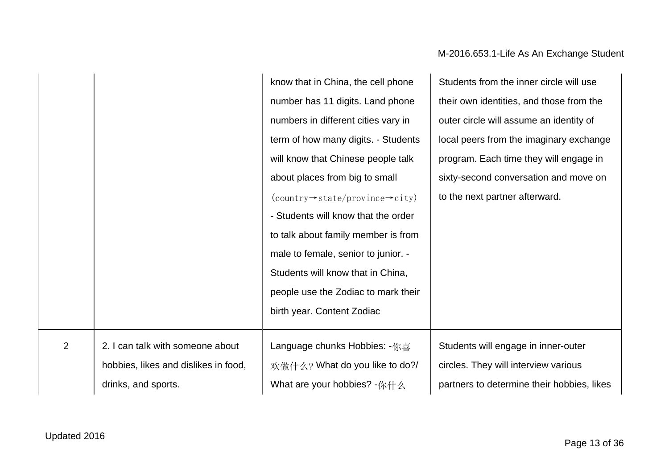#### know that in China, the cell phone number has 11 digits. Land phone numbers in different cities vary in term of how many digits. - Students will know that Chinese people talk about places from big to small (country→state/province→city) - Students will know that the order to talk about family member is from male to female, senior to junior. - Students will know that in China, people use the Zodiac to mark their birth year. Content Zodiac Students from the inner circle will use their own identities, and those from the outer circle will assume an identity of local peers from the imaginary exchange program. Each time they will engage in sixty-second conversation and move on to the next partner afterward.  $2 \mid 2$ . I can talk with someone about hobbies, likes and dislikes in food, drinks, and sports. Language chunks Hobbies: -你喜 欢做什么? What do you like to do?/ What are your hobbies? -你什么 Students will engage in inner-outer circles. They will interview various partners to determine their hobbies, likes

#### M-2016.653.1-Life As An Exchange Student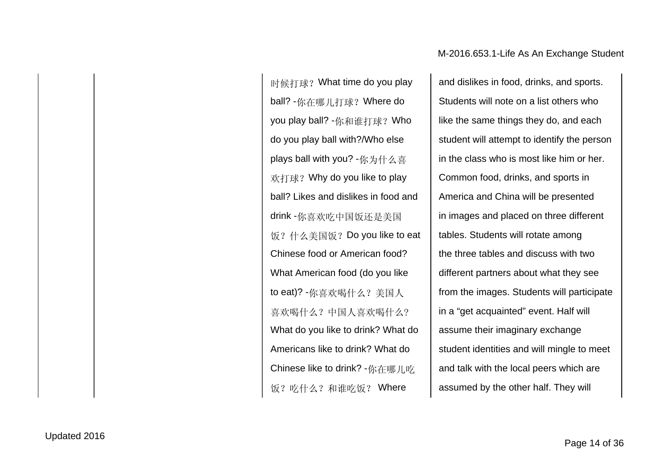时候打球?What time do you play ball? -你在哪儿打球?Where do you play ball? -你和谁打球?Who do you play ball with?/Who else plays ball with you? -你为什么喜 欢打球?Why do you like to play ball? Likes and dislikes in food and drink -你喜欢吃中国饭还是美国 饭?什么美国饭?Do you like to eat Chinese food or American food? What American food (do you like to eat)? -你喜欢喝什么?美国人 喜欢喝什么?中国人喜欢喝什么? What do you like to drink? What do Americans like to drink? What do Chinese like to drink? -你在哪儿吃 饭?吃什么?和谁吃饭? Where

and dislikes in food, drinks, and sports. Students will note on a list others who like the same things they do, and each student will attempt to identify the person in the class who is most like him or her. Common food, drinks, and sports in America and China will be presented in images and placed on three different tables. Students will rotate among the three tables and discuss with two different partners about what they see from the images. Students will participate in a "get acquainted" event. Half will assume their imaginary exchange student identities and will mingle to meet and talk with the local peers which are assumed by the other half. They will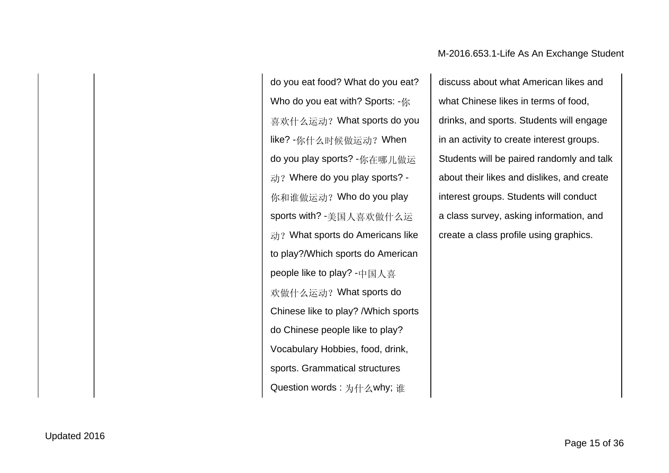do you eat food? What do you eat? Who do you eat with? Sports:  $-$  *m* 喜欢什么运动?What sports do you like? -你什么时候做运动?When do you play sports? -你在哪儿做运 动? Where do you play sports? -你和谁做运动?Who do you play sports with? -美国人喜欢做什么运 动? What sports do Americans like to play?/Which sports do American people like to play? -中国人喜 欢做什么运动?What sports do Chinese like to play? /Which sports do Chinese people like to play? Vocabulary Hobbies, food, drink, sports. Grammatical structures Question words : 为什么why; 谁

discuss about what American likes and what Chinese likes in terms of food, drinks, and sports. Students will engage in an activity to create interest groups. Students will be paired randomly and talk about their likes and dislikes, and create interest groups. Students will conduct a class survey, asking information, and create a class profile using graphics.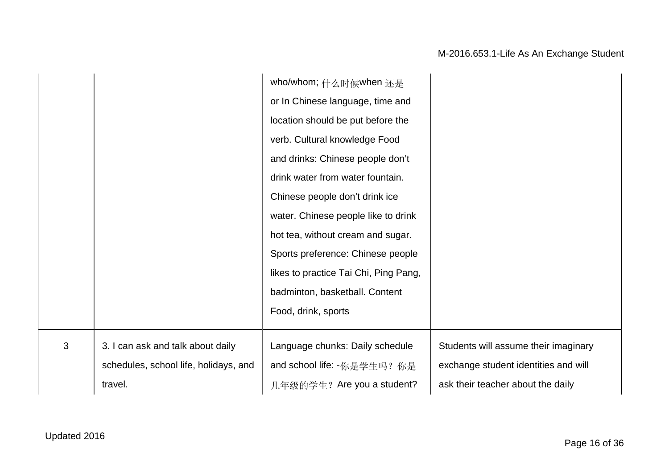|   |                                       | who/whom; 什么时候when 还是                 |                                      |
|---|---------------------------------------|---------------------------------------|--------------------------------------|
|   |                                       | or In Chinese language, time and      |                                      |
|   |                                       | location should be put before the     |                                      |
|   |                                       | verb. Cultural knowledge Food         |                                      |
|   |                                       | and drinks: Chinese people don't      |                                      |
|   |                                       | drink water from water fountain.      |                                      |
|   |                                       | Chinese people don't drink ice        |                                      |
|   |                                       | water. Chinese people like to drink   |                                      |
|   |                                       | hot tea, without cream and sugar.     |                                      |
|   |                                       | Sports preference: Chinese people     |                                      |
|   |                                       | likes to practice Tai Chi, Ping Pang, |                                      |
|   |                                       | badminton, basketball. Content        |                                      |
|   |                                       | Food, drink, sports                   |                                      |
|   |                                       |                                       |                                      |
| 3 | 3. I can ask and talk about daily     | Language chunks: Daily schedule       | Students will assume their imaginary |
|   | schedules, school life, holidays, and | and school life: -你是学生吗? 你是           | exchange student identities and will |
|   | travel.                               | 几年级的学生? Are you a student?            | ask their teacher about the daily    |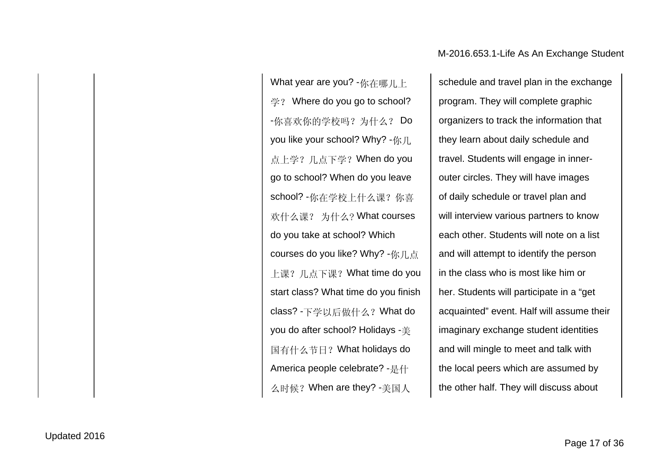What year are you? -你在哪儿上 学? Where do you go to school? -你喜欢你的学校吗? 为什么? Do you like your school? Why? -你几 点上学?几点下学?When do you go to school? When do you leave school? -你在学校上什么课?你喜 欢什么课? 为什么? What courses do you take at school? Which courses do you like? Why? -你几点 上课?几点下课?What time do you start class? What time do you finish class? -下学以后做什么?What do you do after school? Holidays -美 国有什么节日?What holidays do America people celebrate? -是什 么时候?When are they? -美国人

schedule and travel plan in the exchange program. They will complete graphic organizers to track the information that they learn about daily schedule and travel. Students will engage in innerouter circles. They will have images of daily schedule or travel plan and will interview various partners to know each other. Students will note on a list and will attempt to identify the person in the class who is most like him or her. Students will participate in a "get acquainted" event. Half will assume their imaginary exchange student identities and will mingle to meet and talk with the local peers which are assumed by the other half. They will discuss about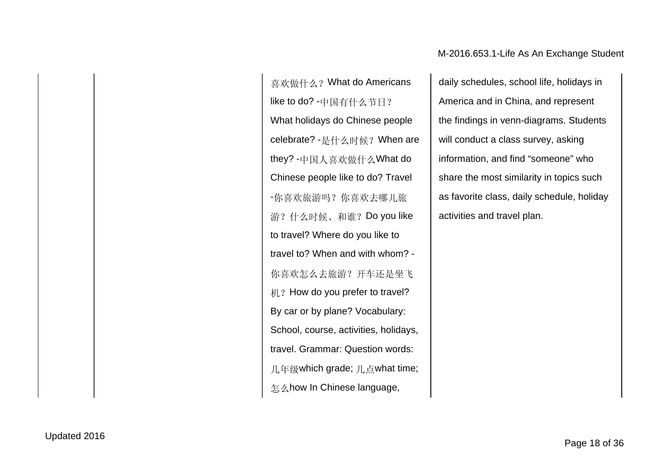喜欢做什么?What do Americans like to do? -中国有什么节日? What holidays do Chinese people celebrate? -是什么时候?When are they? -中国人喜欢做什么What do Chinese people like to do? Travel -你喜欢旅游吗?你喜欢去哪儿旅 游?什么时候、和谁?Do you like to travel? Where do you like to travel to? When and with whom? - 你喜欢怎么去旅游?开车还是坐飞 机? How do you prefer to travel? By car or by plane? Vocabulary: School, course, activities, holidays, travel. Grammar: Question words: 几年级which grade; 几点what time; 怎么how In Chinese language,

daily schedules, school life, holidays in America and in China, and represent the findings in venn-diagrams. Students will conduct a class survey, asking information, and find "someone" who share the most similarity in topics such as favorite class, daily schedule, holiday activities and travel plan.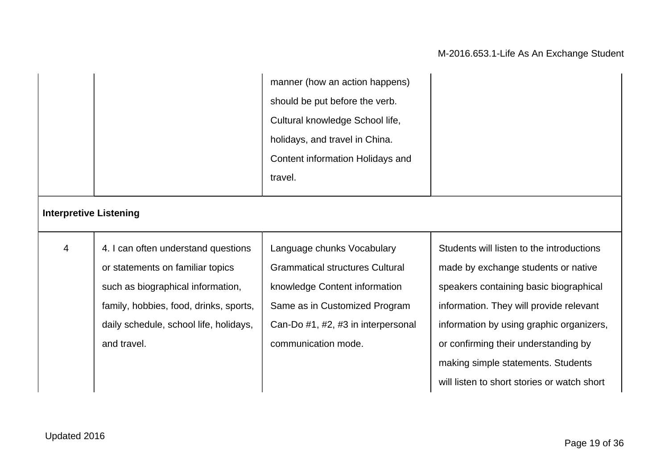|                               |                                        | manner (how an action happens)         |                                           |
|-------------------------------|----------------------------------------|----------------------------------------|-------------------------------------------|
|                               |                                        | should be put before the verb.         |                                           |
|                               |                                        | Cultural knowledge School life,        |                                           |
|                               |                                        | holidays, and travel in China.         |                                           |
|                               |                                        | Content information Holidays and       |                                           |
|                               |                                        | travel.                                |                                           |
| <b>Interpretive Listening</b> |                                        |                                        |                                           |
| $\overline{4}$                | 4. I can often understand questions    | Language chunks Vocabulary             | Students will listen to the introductions |
|                               | or statements on familiar topics       | <b>Grammatical structures Cultural</b> | made by exchange students or native       |
|                               | such as biographical information,      | knowledge Content information          | speakers containing basic biographical    |
|                               | family, hobbies, food, drinks, sports, | Same as in Customized Program          | information. They will provide relevant   |
|                               | daily schedule, school life, holidays, | Can-Do #1, #2, #3 in interpersonal     | information by using graphic organizers,  |
|                               | and travel.                            | communication mode.                    | or confirming their understanding by      |
|                               |                                        |                                        | making simple statements. Students        |
|                               |                                        |                                        |                                           |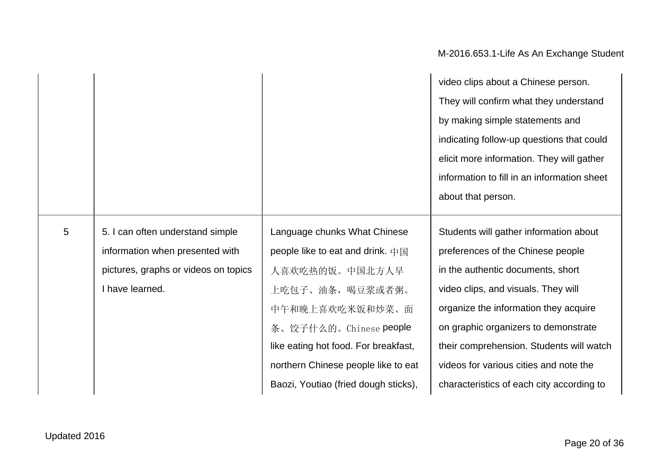|                |                                      |                                             | video clips about a Chinese person.         |
|----------------|--------------------------------------|---------------------------------------------|---------------------------------------------|
|                |                                      |                                             | They will confirm what they understand      |
|                |                                      |                                             | by making simple statements and             |
|                |                                      |                                             | indicating follow-up questions that could   |
|                |                                      |                                             | elicit more information. They will gather   |
|                |                                      |                                             | information to fill in an information sheet |
|                |                                      |                                             | about that person.                          |
|                |                                      |                                             |                                             |
| $\overline{5}$ | 5. I can often understand simple     | Language chunks What Chinese                | Students will gather information about      |
|                | information when presented with      | people like to eat and drink. $+\mathbb{E}$ | preferences of the Chinese people           |
|                | pictures, graphs or videos on topics | 人喜欢吃热的饭。中国北方人早                              | in the authentic documents, short           |
|                | I have learned.                      | 上吃包子、油条,喝豆浆或者粥。                             | video clips, and visuals. They will         |
|                |                                      | 中午和晚上喜欢吃米饭和炒菜、面                             | organize the information they acquire       |
|                |                                      | 条、饺子什么的。Chinese people                      | on graphic organizers to demonstrate        |
|                |                                      | like eating hot food. For breakfast,        | their comprehension. Students will watch    |
|                |                                      | northern Chinese people like to eat         | videos for various cities and note the      |
|                |                                      | Baozi, Youtiao (fried dough sticks),        | characteristics of each city according to   |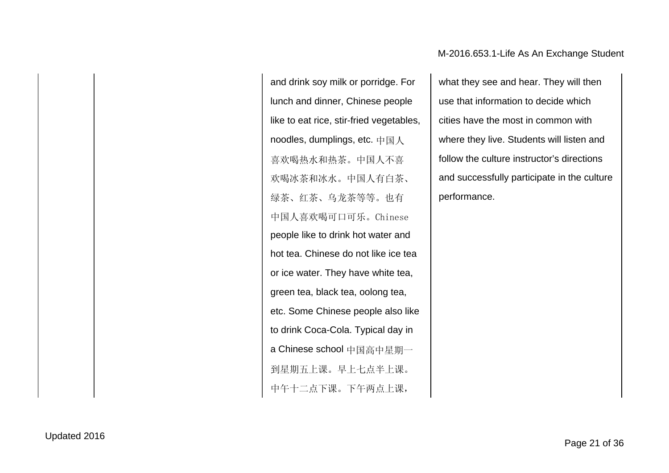and drink soy milk or porridge. For lunch and dinner, Chinese people like to eat rice, stir-fried vegetables, noodles, dumplings, etc. 中国人 喜欢喝热水和热茶。中国人不喜 欢喝冰茶和冰水。中国人有白茶、 绿茶、红茶、乌龙茶等等。也有 中国人喜欢喝可口可乐。Chinese people like to drink hot water and hot tea. Chinese do not like ice tea or ice water. They have white tea, green tea, black tea, oolong tea, etc. Some Chinese people also like to drink Coca-Cola. Typical day in a Chinese school 中国高中星期一 到星期五上课。早上七点半上课。 中午十二点下课。下午两点上课,

what they see and hear. They will then use that information to decide which cities have the most in common with where they live. Students will listen and follow the culture instructor's directions and successfully participate in the culture performance.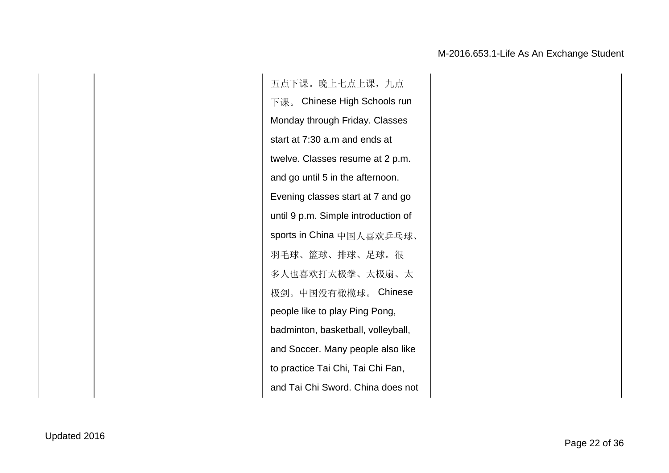五点下课。晚上七点上课,九点 下课。 Chinese High Schools run Monday through Friday. Classes start at 7:30 a.m and ends at twelve. Classes resume at 2 p.m. and go until 5 in the afternoon. Evening classes start at 7 and go until 9 p.m. Simple introduction of sports in China 中国人喜欢乒乓球、 羽毛球、篮球、排球、足球。很 多人也喜欢打太极拳、太极扇、太 极剑。中国没有橄榄球。 Chinese people like to play Ping Pong, badminton, basketball, volleyball, and Soccer. Many people also like to practice Tai Chi, Tai Chi Fan, and Tai Chi Sword. China does not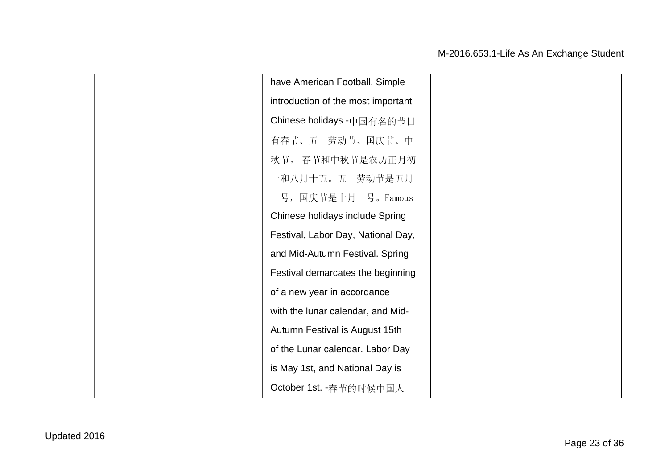have American Football. Simple introduction of the most important Chinese holidays -中国有名的节日 有春节、五一劳动节、国庆节、中 秋节。 春节和中秋节是农历正月初 一和八月十五。五一劳动节是五月 一号,国庆节是十月一号。Famous Chinese holidays include Spring Festival, Labor Day, National Day, and Mid-Autumn Festival. Spring Festival demarcates the beginning of a new year in accordance with the lunar calendar, and Mid-Autumn Festival is August 15th of the Lunar calendar. Labor Day is May 1st, and National Day is October 1st. -春节的时候中国人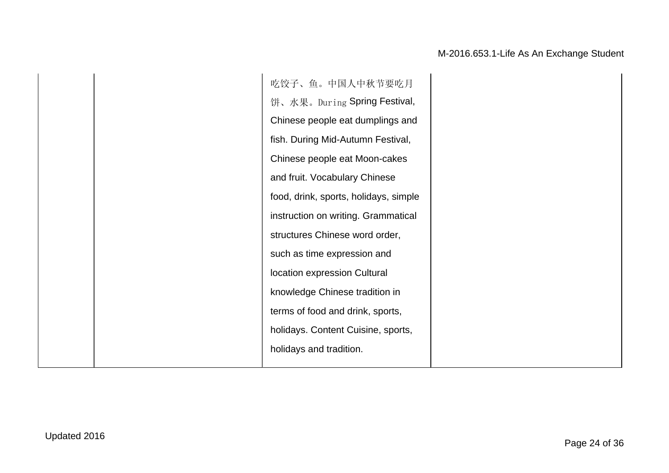吃饺子、鱼。中国人中秋节要吃月 饼、水果。During Spring Festival, Chinese people eat dumplings and fish. During Mid-Autumn Festival, Chinese people eat Moon-cakes and fruit. Vocabulary Chinese food, drink, sports, holidays, simple instruction on writing. Grammatical structures Chinese word order, such as time expression and location expression Cultural knowledge Chinese tradition in terms of food and drink, sports, holidays. Content Cuisine, sports, holidays and tradition.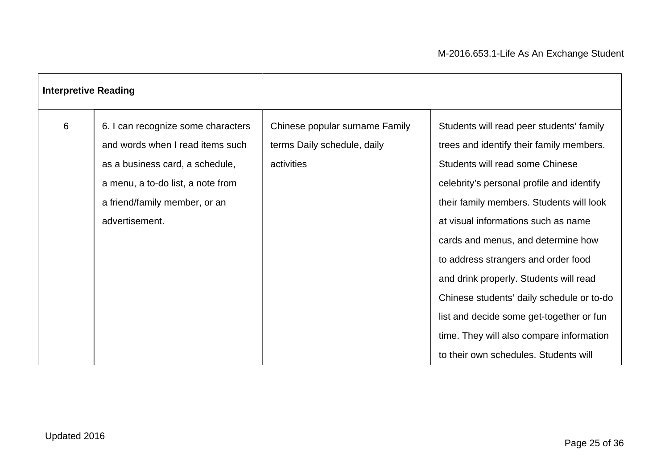| <b>Interpretive Reading</b> |                                                                                                                                                                                                   |                                                                             |                                                                                                                                                                                                                                                                                                                                                                                                                                                                                                                                                              |
|-----------------------------|---------------------------------------------------------------------------------------------------------------------------------------------------------------------------------------------------|-----------------------------------------------------------------------------|--------------------------------------------------------------------------------------------------------------------------------------------------------------------------------------------------------------------------------------------------------------------------------------------------------------------------------------------------------------------------------------------------------------------------------------------------------------------------------------------------------------------------------------------------------------|
| 6                           | 6. I can recognize some characters<br>and words when I read items such<br>as a business card, a schedule,<br>a menu, a to-do list, a note from<br>a friend/family member, or an<br>advertisement. | Chinese popular surname Family<br>terms Daily schedule, daily<br>activities | Students will read peer students' family<br>trees and identify their family members.<br>Students will read some Chinese<br>celebrity's personal profile and identify<br>their family members. Students will look<br>at visual informations such as name<br>cards and menus, and determine how<br>to address strangers and order food<br>and drink properly. Students will read<br>Chinese students' daily schedule or to-do<br>list and decide some get-together or fun<br>time. They will also compare information<br>to their own schedules. Students will |

Г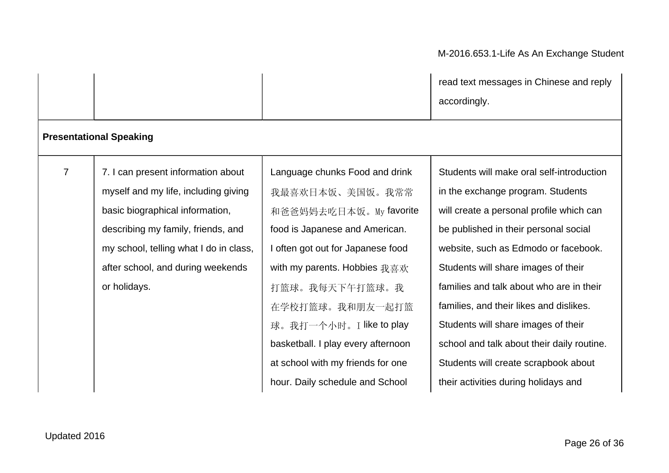| read text messages in Chinese and reply |  |
|-----------------------------------------|--|
| accordingly.                            |  |

|                |                                        |                                    | accordingly.                               |
|----------------|----------------------------------------|------------------------------------|--------------------------------------------|
|                | <b>Presentational Speaking</b>         |                                    |                                            |
| $\overline{7}$ | 7. I can present information about     | Language chunks Food and drink     | Students will make oral self-introduction  |
|                | myself and my life, including giving   | 我最喜欢日本饭、美国饭。我常常                    | in the exchange program. Students          |
|                | basic biographical information,        | 和爸爸妈妈去吃日本饭。My favorite             | will create a personal profile which can   |
|                | describing my family, friends, and     | food is Japanese and American.     | be published in their personal social      |
|                | my school, telling what I do in class, | I often got out for Japanese food  | website, such as Edmodo or facebook.       |
|                | after school, and during weekends      | with my parents. Hobbies 我喜欢       | Students will share images of their        |
|                | or holidays.                           | 打篮球。我每天下午打篮球。我                     | families and talk about who are in their   |
|                |                                        | 在学校打篮球。我和朋友一起打篮                    | families, and their likes and dislikes.    |
|                |                                        | 球。我打一个小时。I like to play            | Students will share images of their        |
|                |                                        | basketball. I play every afternoon | school and talk about their daily routine. |
|                |                                        | at school with my friends for one  | Students will create scrapbook about       |
|                |                                        | hour. Daily schedule and School    | their activities during holidays and       |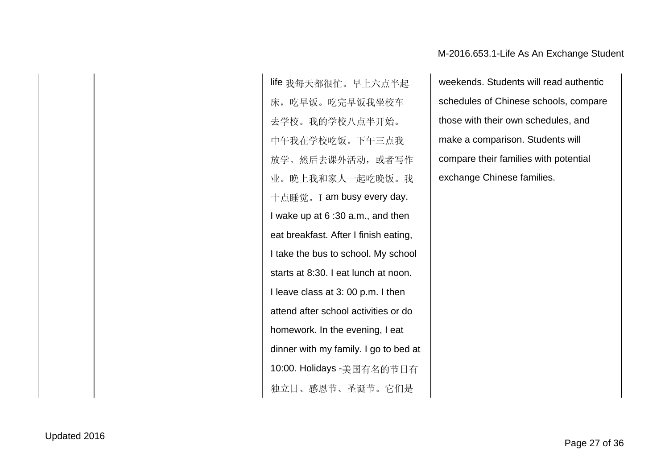life 我每天都很忙。早上六点半起 床,吃早饭。吃完早饭我坐校车 去学校。我的学校八点半开始。 中午我在学校吃饭。下午三点我 放学。然后去课外活动,或者写作 业。晚上我和家人一起吃晚饭。我 十点睡觉。I am busy every day. I wake up at 6 :30 a.m., and then eat breakfast. After I finish eating, I take the bus to school. My school starts at 8:30. I eat lunch at noon. I leave class at 3: 00 p.m. I then attend after school activities or do homework. In the evening, I eat dinner with my family. I go to bed at 10:00. Holidays -美国有名的节日有 独立日、感恩节、圣诞节。它们是

weekends. Students will read authentic schedules of Chinese schools, compare those with their own schedules, and make a comparison. Students will compare their families with potential exchange Chinese families.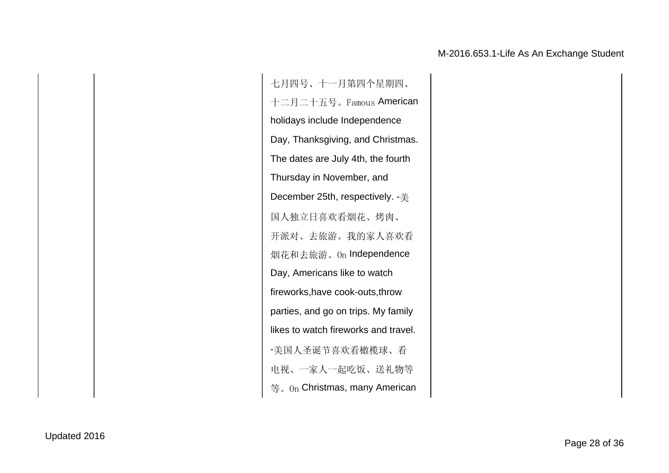七月四号、十一月第四个星期四、 十二月二十五号。Famous American holidays include Independence Day, Thanksgiving, and Christmas. The dates are July 4th, the fourth Thursday in November, and December 25th, respectively. -  $#$ 国人独立日喜欢看烟花、烤肉、 开派对、去旅游。我的家人喜欢看 烟花和去旅游。On Independence Day, Americans like to watch fireworks,have cook-outs,throw parties, and go on trips. My family likes to watch fireworks and travel. -美国人圣诞节喜欢看橄榄球、看 电视、一家人一起吃饭、送礼物等 等。On Christmas, many American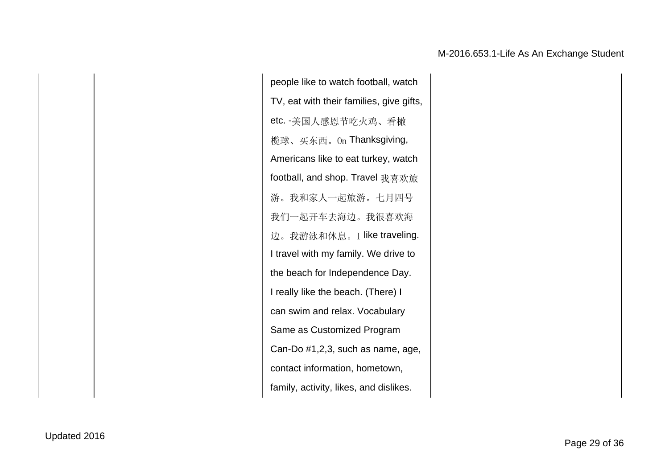people like to watch football, watch TV, eat with their families, give gifts, etc. -美国人感恩节吃火鸡、看橄 榄球、买东西。On Thanksgiving, Americans like to eat turkey, watch football, and shop. Travel 我喜欢旅 游。我和家人一起旅游。七月四号 我们一起开车去海边。我很喜欢海 边。我游泳和休息。I like traveling. I travel with my family. We drive to the beach for Independence Day. I really like the beach. (There) I can swim and relax. Vocabulary Same as Customized Program Can-Do #1,2,3, such as name, age, contact information, hometown, family, activity, likes, and dislikes.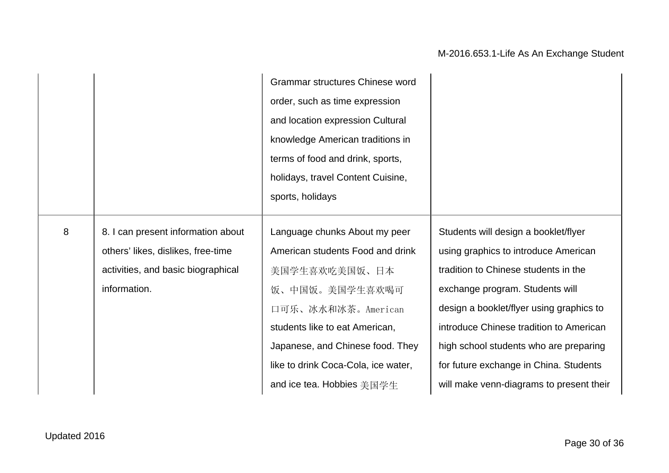|                  |                                    | Grammar structures Chinese word     |                                          |
|------------------|------------------------------------|-------------------------------------|------------------------------------------|
|                  |                                    | order, such as time expression      |                                          |
|                  |                                    | and location expression Cultural    |                                          |
|                  |                                    | knowledge American traditions in    |                                          |
|                  |                                    | terms of food and drink, sports,    |                                          |
|                  |                                    | holidays, travel Content Cuisine,   |                                          |
|                  |                                    | sports, holidays                    |                                          |
|                  |                                    |                                     |                                          |
| $\boldsymbol{8}$ | 8. I can present information about | Language chunks About my peer       | Students will design a booklet/flyer     |
|                  | others' likes, dislikes, free-time | American students Food and drink    | using graphics to introduce American     |
|                  | activities, and basic biographical | 美国学生喜欢吃美国饭、日本                       | tradition to Chinese students in the     |
|                  | information.                       | 饭、中国饭。美国学生喜欢喝可                      | exchange program. Students will          |
|                  |                                    | 口可乐、冰水和冰茶。American                  | design a booklet/flyer using graphics to |
|                  |                                    | students like to eat American,      | introduce Chinese tradition to American  |
|                  |                                    | Japanese, and Chinese food. They    | high school students who are preparing   |
|                  |                                    | like to drink Coca-Cola, ice water, | for future exchange in China. Students   |
|                  |                                    | and ice tea. Hobbies 美国学生           | will make venn-diagrams to present their |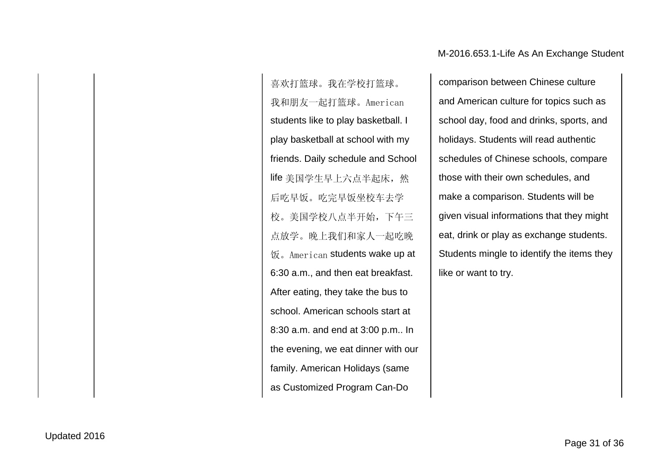喜欢打篮球。我在学校打篮球。 我和朋友一起打篮球。American students like to play basketball. I play basketball at school with my friends. Daily schedule and School life 美国学生早上六点半起床, 然 后吃早饭。吃完早饭坐校车去学 校。美国学校八点半开始,下午三 点放学。晚上我们和家人一起吃晚 饭。American students wake up at 6:30 a.m., and then eat breakfast. After eating, they take the bus to school. American schools start at 8:30 a.m. and end at 3:00 p.m.. In the evening, we eat dinner with our family. American Holidays (same as Customized Program Can-Do

comparison between Chinese culture and American culture for topics such as school day, food and drinks, sports, and holidays. Students will read authentic schedules of Chinese schools, compare those with their own schedules, and make a comparison. Students will be given visual informations that they might eat, drink or play as exchange students. Students mingle to identify the items they like or want to try.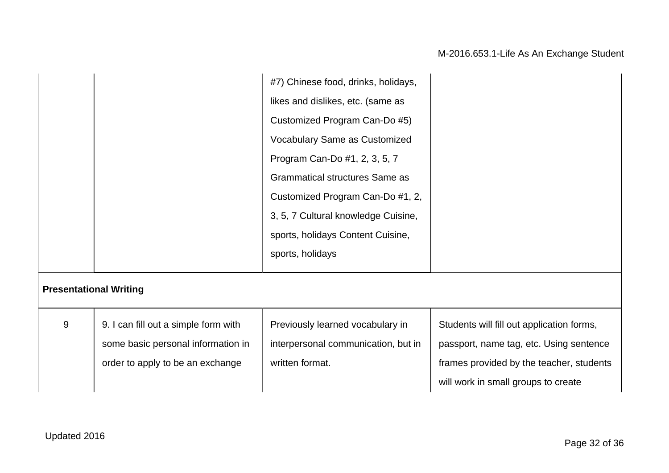|   |                                      | #7) Chinese food, drinks, holidays,   |                                           |
|---|--------------------------------------|---------------------------------------|-------------------------------------------|
|   |                                      | likes and dislikes, etc. (same as     |                                           |
|   |                                      | Customized Program Can-Do #5)         |                                           |
|   |                                      | Vocabulary Same as Customized         |                                           |
|   |                                      | Program Can-Do #1, 2, 3, 5, 7         |                                           |
|   |                                      | <b>Grammatical structures Same as</b> |                                           |
|   |                                      | Customized Program Can-Do #1, 2,      |                                           |
|   |                                      | 3, 5, 7 Cultural knowledge Cuisine,   |                                           |
|   |                                      | sports, holidays Content Cuisine,     |                                           |
|   |                                      | sports, holidays                      |                                           |
|   | <b>Presentational Writing</b>        |                                       |                                           |
| 9 | 9. I can fill out a simple form with | Previously learned vocabulary in      | Students will fill out application forms, |
|   | some basic personal information in   | interpersonal communication, but in   | passport, name tag, etc. Using sentence   |
|   | order to apply to be an exchange     | written format.                       | frames provided by the teacher, students  |
|   |                                      |                                       | will work in small groups to create       |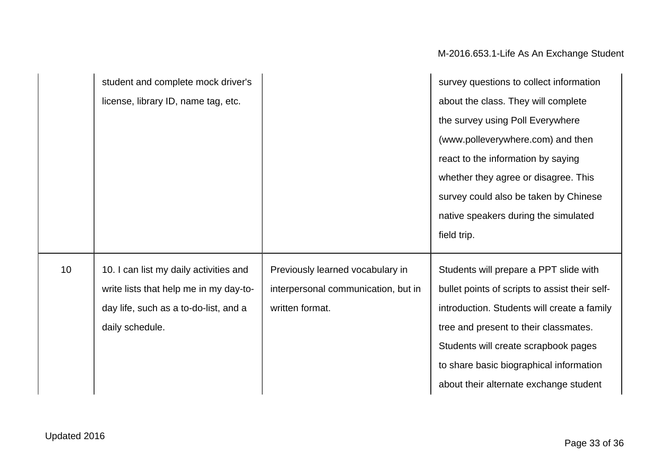|                 | student and complete mock driver's     |                                     | survey questions to collect information        |
|-----------------|----------------------------------------|-------------------------------------|------------------------------------------------|
|                 | license, library ID, name tag, etc.    |                                     | about the class. They will complete            |
|                 |                                        |                                     | the survey using Poll Everywhere               |
|                 |                                        |                                     | (www.polleverywhere.com) and then              |
|                 |                                        |                                     | react to the information by saying             |
|                 |                                        |                                     | whether they agree or disagree. This           |
|                 |                                        |                                     | survey could also be taken by Chinese          |
|                 |                                        |                                     | native speakers during the simulated           |
|                 |                                        |                                     | field trip.                                    |
| 10 <sup>°</sup> | 10. I can list my daily activities and | Previously learned vocabulary in    | Students will prepare a PPT slide with         |
|                 | write lists that help me in my day-to- | interpersonal communication, but in | bullet points of scripts to assist their self- |
|                 | day life, such as a to-do-list, and a  | written format.                     | introduction. Students will create a family    |
|                 | daily schedule.                        |                                     | tree and present to their classmates.          |
|                 |                                        |                                     | Students will create scrapbook pages           |
|                 |                                        |                                     | to share basic biographical information        |
|                 |                                        |                                     | about their alternate exchange student         |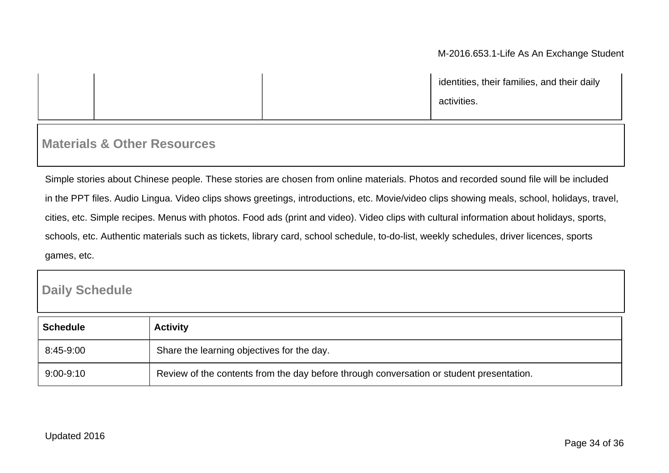identities, their families, and their daily activities.

## **Materials & Other Resources**

Simple stories about Chinese people. These stories are chosen from online materials. Photos and recorded sound file will be included in the PPT files. Audio Lingua. Video clips shows greetings, introductions, etc. Movie/video clips showing meals, school, holidays, travel, cities, etc. Simple recipes. Menus with photos. Food ads (print and video). Video clips with cultural information about holidays, sports, schools, etc. Authentic materials such as tickets, library card, school schedule, to-do-list, weekly schedules, driver licences, sports games, etc.

## **Daily Schedule**

| <b>Schedule</b> | <b>Activity</b>                                                                          |
|-----------------|------------------------------------------------------------------------------------------|
| 8:45-9:00       | Share the learning objectives for the day.                                               |
| $9:00 - 9:10$   | Review of the contents from the day before through conversation or student presentation. |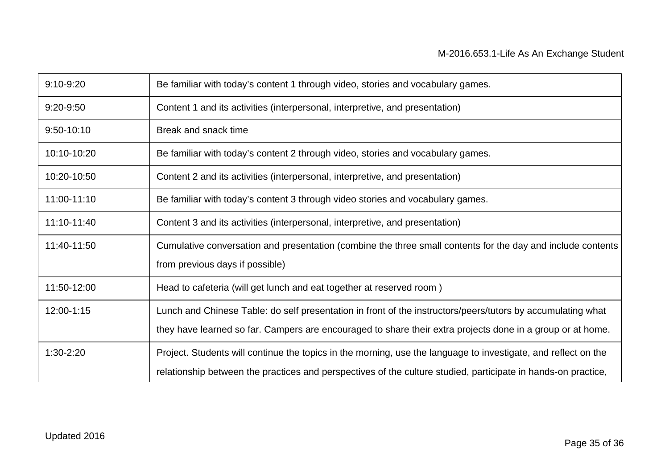| 9:10-9:20   | Be familiar with today's content 1 through video, stories and vocabulary games.                                |
|-------------|----------------------------------------------------------------------------------------------------------------|
| 9:20-9:50   | Content 1 and its activities (interpersonal, interpretive, and presentation)                                   |
| 9:50-10:10  | Break and snack time                                                                                           |
| 10:10-10:20 | Be familiar with today's content 2 through video, stories and vocabulary games.                                |
| 10:20-10:50 | Content 2 and its activities (interpersonal, interpretive, and presentation)                                   |
| 11:00-11:10 | Be familiar with today's content 3 through video stories and vocabulary games.                                 |
| 11:10-11:40 | Content 3 and its activities (interpersonal, interpretive, and presentation)                                   |
| 11:40-11:50 | Cumulative conversation and presentation (combine the three small contents for the day and include contents    |
|             | from previous days if possible)                                                                                |
| 11:50-12:00 | Head to cafeteria (will get lunch and eat together at reserved room)                                           |
| 12:00-1:15  | Lunch and Chinese Table: do self presentation in front of the instructors/peers/tutors by accumulating what    |
|             | they have learned so far. Campers are encouraged to share their extra projects done in a group or at home.     |
| 1:30-2:20   | Project. Students will continue the topics in the morning, use the language to investigate, and reflect on the |
|             | relationship between the practices and perspectives of the culture studied, participate in hands-on practice,  |